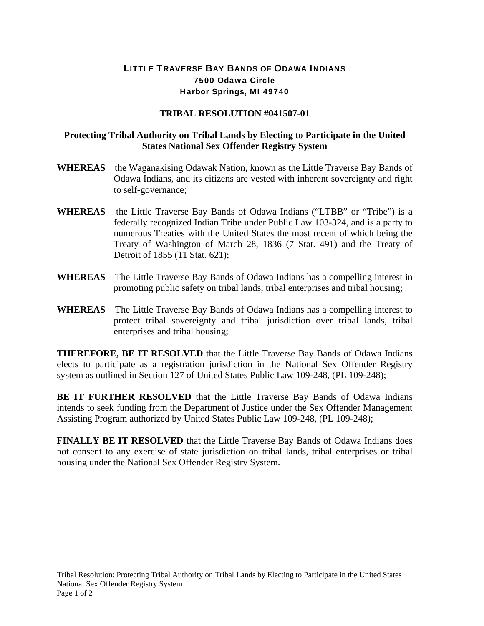## LITTLE TRAVERSE BAY BANDS OF ODAWA INDIANS 7500 Odawa Circle Harbor Springs, MI 49740

## **TRIBAL RESOLUTION #041507-01**

## **Protecting Tribal Authority on Tribal Lands by Electing to Participate in the United States National Sex Offender Registry System**

- **WHEREAS** the Waganakising Odawak Nation, known as the Little Traverse Bay Bands of Odawa Indians, and its citizens are vested with inherent sovereignty and right to self-governance;
- **WHEREAS** the Little Traverse Bay Bands of Odawa Indians ("LTBB" or "Tribe") is a federally recognized Indian Tribe under Public Law 103-324, and is a party to numerous Treaties with the United States the most recent of which being the Treaty of Washington of March 28, 1836 (7 Stat. 491) and the Treaty of Detroit of 1855 (11 Stat. 621);
- **WHEREAS** The Little Traverse Bay Bands of Odawa Indians has a compelling interest in promoting public safety on tribal lands, tribal enterprises and tribal housing;
- **WHEREAS** The Little Traverse Bay Bands of Odawa Indians has a compelling interest to protect tribal sovereignty and tribal jurisdiction over tribal lands, tribal enterprises and tribal housing;

**THEREFORE, BE IT RESOLVED** that the Little Traverse Bay Bands of Odawa Indians elects to participate as a registration jurisdiction in the National Sex Offender Registry system as outlined in Section 127 of United States Public Law 109-248, (PL 109-248);

**BE IT FURTHER RESOLVED** that the Little Traverse Bay Bands of Odawa Indians intends to seek funding from the Department of Justice under the Sex Offender Management Assisting Program authorized by United States Public Law 109-248, (PL 109-248);

**FINALLY BE IT RESOLVED** that the Little Traverse Bay Bands of Odawa Indians does not consent to any exercise of state jurisdiction on tribal lands, tribal enterprises or tribal housing under the National Sex Offender Registry System.